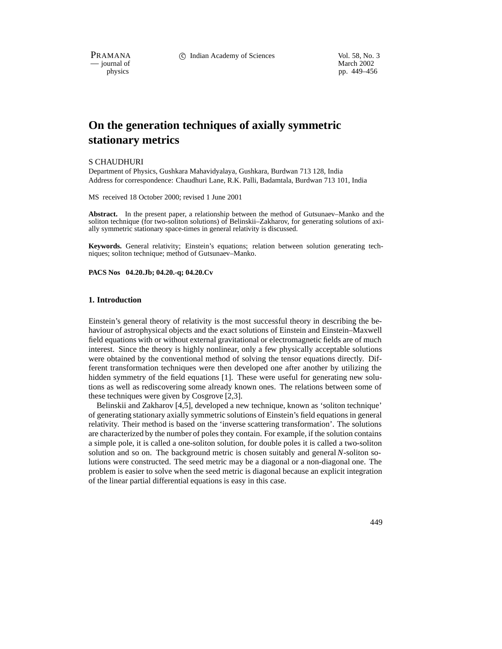$-$  journal of physics

PRAMANA 
<sup>c</sup> Indian Academy of Sciences 
<sup>Vol. 58, No. 3

<sup>c</sup> Vol. 58, No. 3
<sup>c</sup> Vol. 59, No. 3
<sup>2002</sup></sup> pp. 449–456

# **On the generation techniques of axially symmetric stationary metrics**

#### S CHAUDHURI

Department of Physics, Gushkara Mahavidyalaya, Gushkara, Burdwan 713 128, India Address for correspondence: Chaudhuri Lane, R.K. Palli, Badamtala, Burdwan 713 101, India

MS received 18 October 2000; revised 1 June 2001

**Abstract.** In the present paper, a relationship between the method of Gutsunaev–Manko and the soliton technique (for two-soliton solutions) of Belinskii–Zakharov, for generating solutions of axially symmetric stationary space-times in general relativity is discussed.

**Keywords.** General relativity; Einstein's equations; relation between solution generating techniques; soliton technique; method of Gutsunaev–Manko.

**PACS Nos 04.20.Jb; 04.20.-q; 04.20.Cv**

### **1. Introduction**

Einstein's general theory of relativity is the most successful theory in describing the behaviour of astrophysical objects and the exact solutions of Einstein and Einstein–Maxwell field equations with or without external gravitational or electromagnetic fields are of much interest. Since the theory is highly nonlinear, only a few physically acceptable solutions were obtained by the conventional method of solving the tensor equations directly. Different transformation techniques were then developed one after another by utilizing the hidden symmetry of the field equations [1]. These were useful for generating new solutions as well as rediscovering some already known ones. The relations between some of these techniques were given by Cosgrove [2,3].

Belinskii and Zakharov [4,5], developed a new technique, known as 'soliton technique' of generating stationary axially symmetric solutions of Einstein's field equations in general relativity. Their method is based on the 'inverse scattering transformation'. The solutions are characterized by the number of poles they contain. For example, if the solution contains a simple pole, it is called a one-soliton solution, for double poles it is called a two-soliton solution and so on. The background metric is chosen suitably and general *N*-soliton solutions were constructed. The seed metric may be a diagonal or a non-diagonal one. The problem is easier to solve when the seed metric is diagonal because an explicit integration of the linear partial differential equations is easy in this case.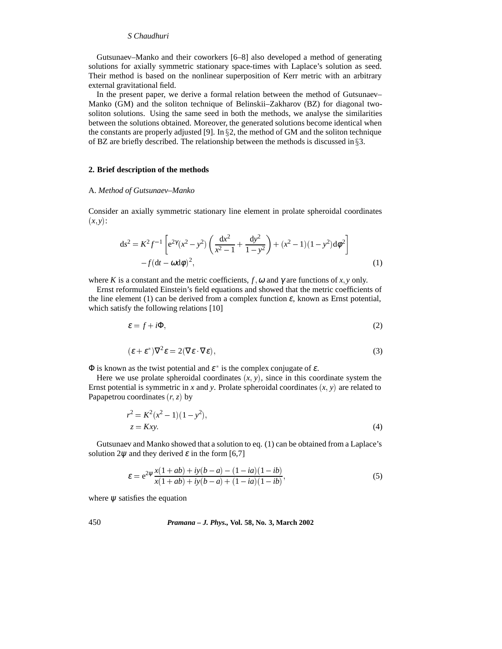Gutsunaev–Manko and their coworkers [6–8] also developed a method of generating solutions for axially symmetric stationary space-times with Laplace's solution as seed. Their method is based on the nonlinear superposition of Kerr metric with an arbitrary external gravitational field.

In the present paper, we derive a formal relation between the method of Gutsunaev– Manko (GM) and the soliton technique of Belinskii–Zakharov (BZ) for diagonal twosoliton solutions. Using the same seed in both the methods, we analyse the similarities between the solutions obtained. Moreover, the generated solutions become identical when the constants are properly adjusted [9]. In  $\S 2$ , the method of GM and the soliton technique of BZ are briefly described. The relationship between the methods is discussed in  $\S 3$ .

## **2. Brief description of the methods**

#### A. *Method of Gutsunaev–Manko*

Consider an axially symmetric stationary line element in prolate spheroidal coordinates  $(x, y)$ :

$$
ds^{2} = K^{2} f^{-1} \left[ e^{2\gamma} (x^{2} - y^{2}) \left( \frac{dx^{2}}{x^{2} - 1} + \frac{dy^{2}}{1 - y^{2}} \right) + (x^{2} - 1)(1 - y^{2}) d\phi^{2} \right] - f (dt - \omega d\phi)^{2},
$$
\n(1)

where *K* is a constant and the metric coefficients,  $f$ ,  $\omega$  and  $\gamma$  are functions of *x*, *y* only.

Ernst reformulated Einstein's field equations and showed that the metric coefficients of the line element (1) can be derived from a complex function  $\varepsilon$ , known as Ernst potential, which satisfy the following relations [10]

$$
\varepsilon = f + i\Phi,\tag{2}
$$

$$
(\varepsilon + \varepsilon^*) \nabla^2 \varepsilon = 2(\nabla \varepsilon \cdot \nabla \varepsilon),
$$
\n(3)

 $\Phi$  is known as the twist potential and  $\varepsilon^*$  is the complex conjugate of  $\varepsilon$ .

Here we use prolate spheroidal coordinates  $(x, y)$ , since in this coordinate system the Ernst potential is symmetric in *x* and *y*. Prolate spheroidal coordinates  $(x, y)$  are related to Papapetrou coordinates  $(r, z)$  by

$$
r^{2} = K^{2}(x^{2} - 1)(1 - y^{2}),
$$
  
\n
$$
z = Kxy.
$$
\n(4)

Gutsunaev and Manko showed that a solution to eq. (1) can be obtained from a Laplace's solution  $2\psi$  and they derived  $\varepsilon$  in the form [6,7]

$$
\varepsilon = e^{2\psi} \frac{x(1+ab) + iy(b-a) - (1-ia)(1-ib)}{x(1+ab) + iy(b-a) + (1-ia)(1-ib)},
$$
\n(5)

where  $\psi$  satisfies the equation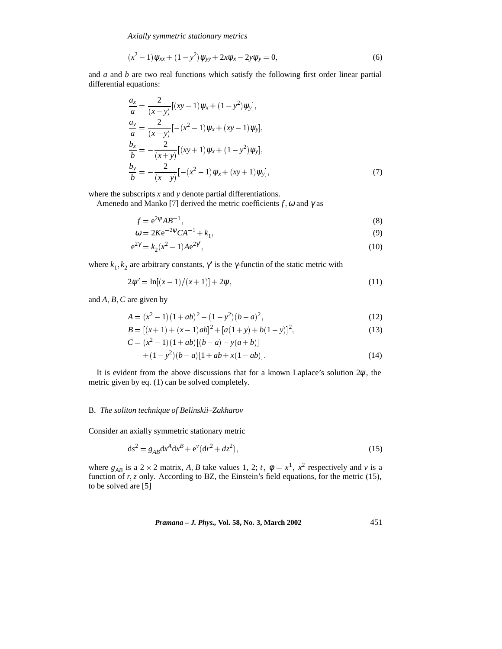*Axially symmetric stationary metrics*

$$
(x2 - 1)\psi_{xx} + (1 - y2)\psi_{yy} + 2x\psi_x - 2y\psi_y = 0,
$$
\n(6)

and *a* and *b* are two real functions which satisfy the following first order linear partial differential equations:

$$
\frac{a_x}{a} = \frac{2}{(x-y)} [(xy-1)\psi_x + (1-y^2)\psi_y], \n\frac{a_y}{a} = \frac{2}{(x-y)} [-(x^2-1)\psi_x + (xy-1)\psi_y], \n\frac{b_x}{b} = -\frac{2}{(x+y)} [(xy+1)\psi_x + (1-y^2)\psi_y], \n\frac{b_y}{b} = -\frac{2}{(x-y)} [-(x^2-1)\psi_x + (xy+1)\psi_y],
$$
\n(7)

where the subscripts *x* and *y* denote partial differentiations.

Amenedo and Manko [7] derived the metric coefficients  $f$ ,  $\omega$  and  $\gamma$  as

$$
f = e^{2\psi}AB^{-1},\tag{8}
$$

$$
\omega = 2Ke^{-2\psi}CA^{-1} + k_1,\tag{9}
$$

$$
e^{2\gamma} = k_2(x^2 - 1)Ae^{2\gamma'},\tag{10}
$$

where  $k_1, k_2$  are arbitrary constants,  $\gamma'$  is the  $\gamma$ -functin of the static metric with

$$
2\psi' = \ln[(x-1)/(x+1)] + 2\psi,
$$
\n(11)

and *A*; *B*; *C* are given by

$$
A = (x2 - 1)(1 + ab)2 - (1 - y2)(b - a)2,
$$
\n(12)

$$
B = [(x+1) + (x-1)ab]2 + [a(1+y) + b(1-y)]2,
$$
\n(13)

$$
C = (x2 - 1)(1 + ab)[(b - a) - y(a + b)]+ (1 - y2)(b - a)[1 + ab + x(1 - ab)].
$$
\n(14)

It is evident from the above discussions that for a known Laplace's solution  $2\psi$ , the metric given by eq. (1) can be solved completely.

### B. *The soliton technique of Belinskii–Zakharov*

Consider an axially symmetric stationary metric

$$
ds^{2} = g_{AB}dx^{A}dx^{B} + e^{v}(dr^{2} + dz^{2}),
$$
\t(15)

where  $g_{AB}$  is a 2 × 2 matrix, *A*, *B* take values 1, 2; *t*,  $\phi = x^1$ ,  $x^2$  respectively and *v* is a function of *r*, *z* only. According to BZ, the Einstein's field equations, for the metric (15), to be solved are [5]

*Pramana – J. Phys.,* **Vol. 58, No. 3, March 2002** 451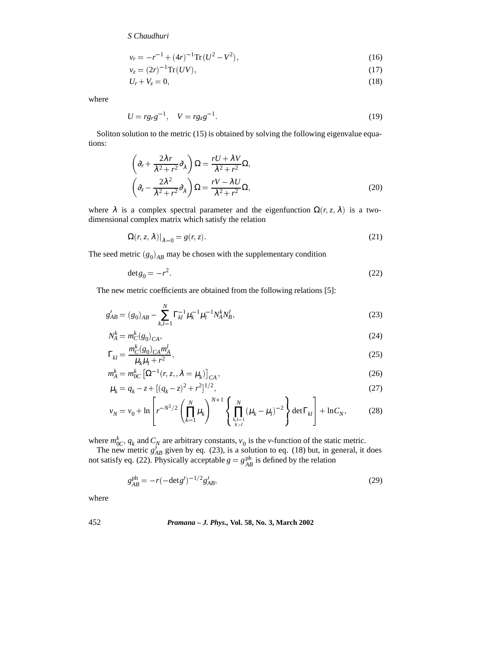$$
v_r = -r^{-1} + (4r)^{-1} \text{Tr}(U^2 - V^2),\tag{16}
$$

$$
v_z = (2r)^{-1} \text{Tr}(UV),\tag{17}
$$

$$
U_r + V_z = 0,\t\t(18)
$$

where

$$
U = r g_r g^{-1}, \quad V = r g_z g^{-1} \tag{19}
$$

Soliton solution to the metric (15) is obtained by solving the following eigenvalue equations:

$$
\left(\partial_r + \frac{2\lambda r}{\lambda^2 + r^2} \partial_\lambda\right) \Omega = \frac{rU + \lambda V}{\lambda^2 + r^2} \Omega,
$$
\n
$$
\left(\partial_z - \frac{2\lambda^2}{\lambda^2 + r^2} \partial_\lambda\right) \Omega = \frac{rV - \lambda U}{\lambda^2 + r^2} \Omega,
$$
\n(20)

where  $\lambda$  is a complex spectral parameter and the eigenfunction  $\Omega(r, z, \lambda)$  is a twodimensional complex matrix which satisfy the relation

$$
\Omega(r, z, \lambda)|_{\lambda=0} = g(r, z). \tag{21}
$$

The seed metric  $(g_0)_{AB}$  may be chosen with the supplementary condition

$$
\det g_0 = -r^2. \tag{22}
$$

The new metric coefficients are obtained from the following relations [5]:

$$
g'_{AB} = (g_0)_{AB} - \sum_{k,l=1}^{N} \Gamma_{kl}^{-1} \mu_k^{-1} \mu_l^{-1} N_A^k N_B^l,
$$
\n(23)

$$
N_A^k = m_C^k(g_0)_{CA},
$$
  

$$
N_A^k = m_C^k(g_0)_{CA} m_A^l
$$
 (24)

$$
\Gamma_{kl} = \frac{m_C^k (g_0)_{CA} m_A^l}{\mu_k \mu_l + r^2},\tag{25}
$$

$$
m_A^k = m_{0C}^k \left[ \Omega^{-1}(r, z, \lambda = \mu_k) \right]_{CA},
$$
\n
$$
m_A = a_{0C} \left[ \Omega^{-1}(r, z, \lambda) \right]_{CA}^{2} + r^2 \left[ \Omega^{-1}(r, z, \lambda) \right]_{CA}^{2}.
$$
\n
$$
(26)
$$

$$
\mu_k = q_k - z + [(q_k - z)^2 + r^2]^{1/2},
$$
\n
$$
v_N = v_0 + \ln \left[ r^{-N^2/2} \left( \prod_{k=1}^N \mu_k \right)^{N+1} \left\{ \prod_{\substack{k,l=1 \\ k > l}}^N (\mu_k - \mu_l)^{-2} \right\} \det \Gamma_{kl} \right] + \ln C_N,
$$
\n(28)

where  $m_{0C}^k$ ,  $q_k$  and  $C_N$  are arbitrary constants,  $v_0$  is the *v*-function of the static metric.

The new metric  $g'_{AB}$  given by eq. (23), is a solution to eq. (18) but, in general, it does not satisfy eq. (22). Physically acceptable  $g = g_{AB}^{ph}$  is defined by the relation

$$
g_{AB}^{\text{ph}} = -r(-\text{det}g')^{-1/2}g'_{AB},\tag{29}
$$

where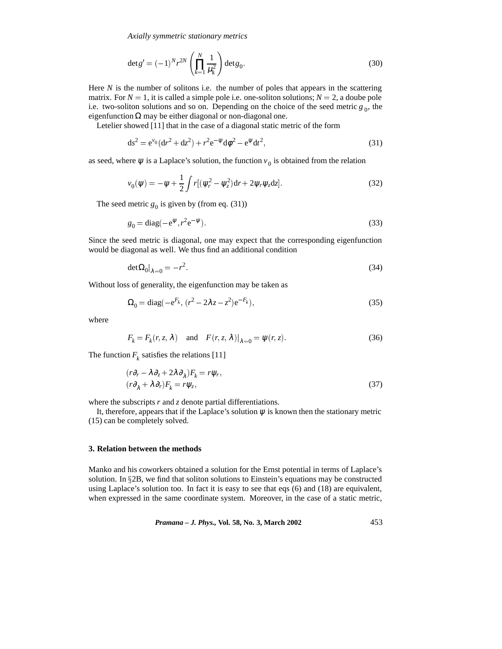*Axially symmetric stationary metrics*

$$
\det g' = (-1)^N r^{2N} \left( \prod_{k=1}^N \frac{1}{\mu_k^2} \right) \det g_0.
$$
 (30)

Here *N* is the number of solitons i.e. the number of poles that appears in the scattering matrix. For  $N = 1$ , it is called a simple pole i.e. one-soliton solutions;  $N = 2$ , a doube pole i.e. two-soliton solutions and so on. Depending on the choice of the seed metric  $g_0$ , the eigenfunction  $\Omega$  may be either diagonal or non-diagonal one.

Letelier showed [11] that in the case of a diagonal static metric of the form

$$
ds^{2} = e^{v_0} (dr^{2} + dz^{2}) + r^{2} e^{-\psi} d\phi^{2} - e^{\psi} dt^{2},
$$
\n(31)

as seed, where  $\psi$  is a Laplace's solution, the function  $v_0$  is obtained from the relation

$$
v_0(\psi) = -\psi + \frac{1}{2} \int r[(\psi_r^2 - \psi_z^2)dr + 2\psi_r \psi_z dz].
$$
 (32)

The seed metric  $g_0$  is given by (from eq. (31))

$$
g_0 = \text{diag}(-e^{\psi}, r^2 e^{-\psi}).\tag{33}
$$

Since the seed metric is diagonal, one may expect that the corresponding eigenfunction would be diagonal as well. We thus find an additional condition

$$
\det \Omega_0|_{\lambda=0} = -r^2. \tag{34}
$$

Without loss of generality, the eigenfunction may be taken as

$$
\Omega_0 = \text{diag}(-e^{F_k}, (r^2 - 2\lambda z - z^2)e^{-F_k}),
$$
\n(35)

where

$$
F_k = F_k(r, z, \lambda) \quad \text{and} \quad F(r, z, \lambda)|_{\lambda=0} = \psi(r, z). \tag{36}
$$

The function  $F_k$  satisfies the relations [11]

$$
(r\partial_r - \lambda \partial_z + 2\lambda \partial_\lambda)F_k = r\psi_r,
$$
  
\n
$$
(r\partial_\lambda + \lambda \partial_r)F_k = r\psi_z,
$$
\n(37)

where the subscripts *r* and *z* denote partial differentiations.

It, therefore, appears that if the Laplace's solution  $\psi$  is known then the stationary metric (15) can be completely solved.

#### **3. Relation between the methods**

Manko and his coworkers obtained a solution for the Ernst potential in terms of Laplace's solution. In  $\S 2B$ , we find that soliton solutions to Einstein's equations may be constructed using Laplace's solution too. In fact it is easy to see that eqs (6) and (18) are equivalent, when expressed in the same coordinate system. Moreover, in the case of a static metric,

*Pramana – J. Phys.,* **Vol. 58, No. 3, March 2002** 453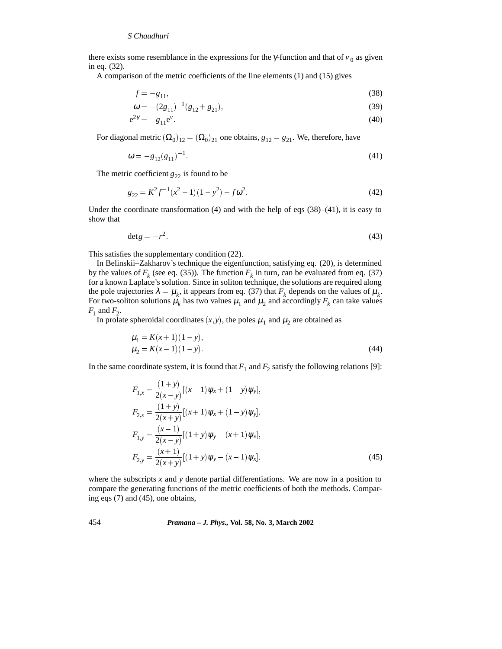there exists some resemblance in the expressions for the  $\gamma$ -function and that of  $v_0$  as given in eq. (32).

A comparison of the metric coefficients of the line elements (1) and (15) gives

$$
f = -g_{11},\tag{38}
$$

$$
\omega = -(2g_{11})^{-1}(g_{12} + g_{21}),\tag{39}
$$

$$
e^{2\gamma} = -g_{11}e^{\nu}.\tag{40}
$$

For diagonal metric  $(Q_0)_{12} = (Q_0)_{21}$  one obtains,  $g_{12} = g_{21}$ . We, therefore, have

$$
\omega = -g_{12}(g_{11})^{-1}.\tag{41}
$$

The metric coefficient  $g_{22}$  is found to be

$$
g_{22} = K^2 f^{-1} (x^2 - 1)(1 - y^2) - f \omega^2.
$$
 (42)

Under the coordinate transformation  $(4)$  and with the help of eqs  $(38)$ – $(41)$ , it is easy to show that

$$
\det g = -r^2. \tag{43}
$$

This satisfies the supplementary condition (22).

In Belinskii–Zakharov's technique the eigenfunction, satisfying eq. (20), is determined by the values of  $F_k$  (see eq. (35)). The function  $F_k$  in turn, can be evaluated from eq. (37) for a known Laplace's solution. Since in soliton technique, the solutions are required along the pole trajectories  $\lambda = \mu_k$ , it appears from eq. (37) that  $F_k$  depends on the values of  $\mu_k$ . For two-soliton solutions  $\mu_k$  has two values  $\mu_1$  and  $\mu_2$  and accordingly  $F_k$  can take values  $F_1$  and  $F_2$ .

In prolate spheroidal coordinates  $(x, y)$ , the poles  $\mu_1$  and  $\mu_2$  are obtained as

$$
\mu_1 = K(x+1)(1-y), \n\mu_2 = K(x-1)(1-y).
$$
\n(44)

In the same coordinate system, it is found that  $F_1$  and  $F_2$  satisfy the following relations [9]:

$$
F_{1,x} = \frac{(1+y)}{2(x-y)} [(x-1)\psi_x + (1-y)\psi_y],
$$
  
\n
$$
F_{2,x} = \frac{(1+y)}{2(x+y)} [(x+1)\psi_x + (1-y)\psi_y],
$$
  
\n
$$
F_{1,y} = \frac{(x-1)}{2(x-y)} [(1+y)\psi_y - (x+1)\psi_x],
$$
  
\n
$$
F_{2,y} = \frac{(x+1)}{2(x+y)} [(1+y)\psi_y - (x-1)\psi_x],
$$
\n(45)

where the subscripts *x* and *y* denote partial differentiations. We are now in a position to compare the generating functions of the metric coefficients of both the methods. Comparing eqs (7) and (45), one obtains,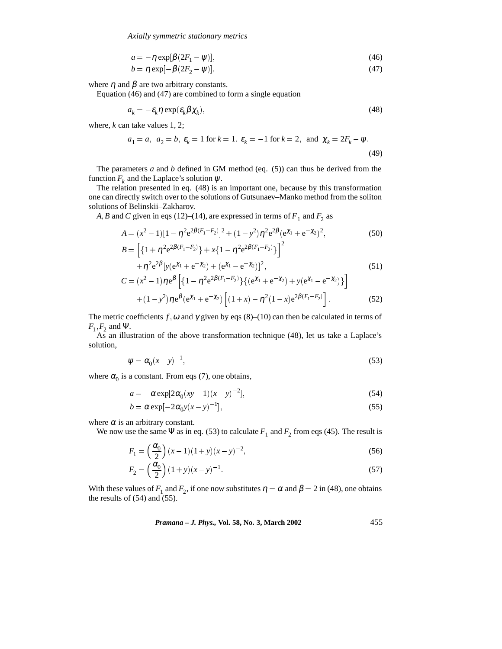*Axially symmetric stationary metrics*

$$
a = -\eta \exp[\beta(2F_1 - \psi)],\tag{46}
$$

$$
b = \eta \exp[-\beta(2F_2 - \psi)],\tag{47}
$$

where  $\eta$  and  $\beta$  are two arbitrary constants.

Equation (46) and (47) are combined to form a single equation

$$
a_k = -\varepsilon_k \eta \exp(\varepsilon_k \beta \chi_k),\tag{48}
$$

where, *k* can take values 1, 2;

$$
a_1 = a
$$
,  $a_2 = b$ ,  $\varepsilon_k = 1$  for  $k = 1$ ,  $\varepsilon_k = -1$  for  $k = 2$ , and  $\chi_k = 2F_k - \psi$ . (49)

The parameters *a* and *b* defined in GM method (eq. (5)) can thus be derived from the function  $F_k$  and the Laplace's solution  $\psi$ .

The relation presented in eq. (48) is an important one, because by this transformation one can directly switch over to the solutions of Gutsunaev–Manko method from the soliton solutions of Belinskii–Zakharov.

*A*, *B* and *C* given in eqs (12)–(14), are expressed in terms of  $F_1$  and  $F_2$  as

$$
A = (x^{2} - 1)[1 - \eta^{2}e^{2\beta(F_{1} - F_{2})}]^{2} + (1 - y^{2})\eta^{2}e^{2\beta}(e^{\chi_{1}} + e^{-\chi_{2}})^{2}, \tag{50}
$$

$$
B = \left[ \{ 1 + \eta^2 e^{2\beta (F_1 - F_2)} \} + x \{ 1 - \eta^2 e^{2\beta (F_1 - F_2)} \} \right]^2
$$
  
+ 
$$
\eta^2 e^{2\beta} \left[ y (e^{\chi_1} + e^{-\chi_2}) + (e^{\chi_1} - e^{-\chi_2}) \right]^2,
$$
  

$$
C = (x^2 - 1) \eta e^{\beta} \left[ \{ 1 - \eta^2 e^{2\beta (F_1 - F_2)} \} \{ (e^{\chi_1} + e^{-\chi_2}) + y (e^{\chi_1} - e^{-\chi_2}) \} \right]
$$
(51)

$$
= (x^{2} - 1)\eta e^{\beta} \left[ \{ 1 - \eta^{2} e^{2\beta (F_{1} - F_{2})} \} \{ (e^{\chi_{1}} + e^{-\chi_{2}}) + y (e^{\chi_{1}} - e^{-\chi_{2}}) \} \right] + (1 - y^{2})\eta e^{\beta} (e^{\chi_{1}} + e^{-\chi_{2}}) \left[ (1 + x) - \eta^{2} (1 - x) e^{2\beta (F_{1} - F_{2})} \right].
$$
 (52)

The metric coefficients  $f$ ,  $\omega$  and  $\gamma$  given by eqs (8)–(10) can then be calculated in terms of  $F_1$ ,  $F_2$  and Ψ.

As an illustration of the above transformation technique (48), let us take a Laplace's solution,

$$
\psi = \alpha_0 (x - y)^{-1},\tag{53}
$$

where  $\alpha_0$  is a constant. From eqs (7), one obtains,

$$
a = -\alpha \exp[2\alpha_0 (xy - 1)(x - y)^{-2}],
$$
\n(54)

$$
b = \alpha \exp[-2\alpha_0 y(x-y)^{-1}],\tag{55}
$$

where  $\alpha$  is an arbitrary constant.

We now use the same  $\Psi$  as in eq. (53) to calculate  $F_1$  and  $F_2$  from eqs (45). The result is

$$
F_1 = \left(\frac{\alpha_0}{2}\right)(x-1)(1+y)(x-y)^{-2},\tag{56}
$$

$$
F_2 = \left(\frac{\alpha_0}{2}\right)(1+y)(x-y)^{-1}.
$$
\n(57)

With these values of  $F_1$  and  $F_2$ , if one now substitutes  $\eta = \alpha$  and  $\beta = 2$  in (48), one obtains the results of (54) and (55).

*Pramana – J. Phys.,* **Vol. 58, No. 3, March 2002** 455